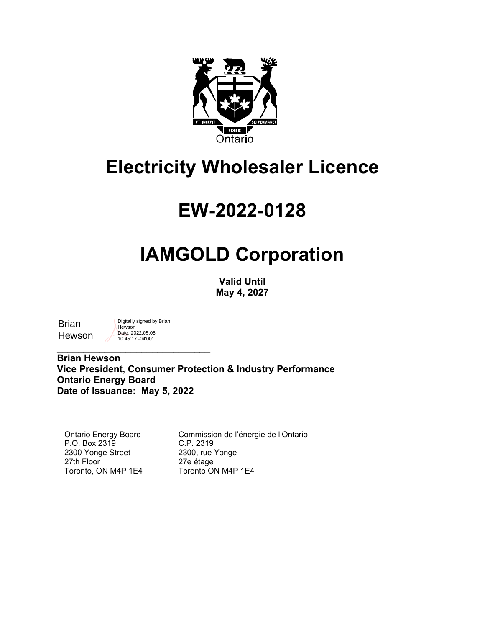

# **Electricity Wholesaler Licence**

# **EW-2022-0128**

# **IAMGOLD Corporation**

**Valid Until May 4, 2027**

**Brian Hewson**  Digitally signed by Brian Hewson Date: 2022.05.05 10:45:17 -04'00'

 $\overline{\phantom{a}}$  , which is a set of the set of the set of the set of the set of the set of the set of the set of the set of the set of the set of the set of the set of the set of the set of the set of the set of the set of th

**Brian Hewson Vice President, Consumer Protection & Industry Performance Ontario Energy Board Date of Issuance: May 5, 2022**

Ontario Energy Board P.O. Box 2319 2300 Yonge Street 27th Floor Toronto, ON M4P 1E4

Commission de l'énergie de l'Ontario C.P. 2319 2300, rue Yonge 27e étage Toronto ON M4P 1E4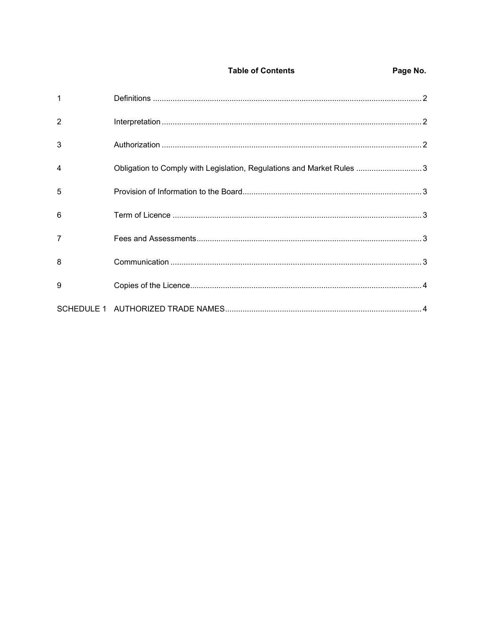| $\mathbf{1}$   |                                                                       |  |
|----------------|-----------------------------------------------------------------------|--|
| $\overline{2}$ |                                                                       |  |
| 3              |                                                                       |  |
| $\overline{4}$ | Obligation to Comply with Legislation, Regulations and Market Rules 3 |  |
| 5              |                                                                       |  |
| 6              |                                                                       |  |
| $\overline{7}$ |                                                                       |  |
| 8              |                                                                       |  |
| 9              |                                                                       |  |
|                |                                                                       |  |

**Table of Contents** 

Page No.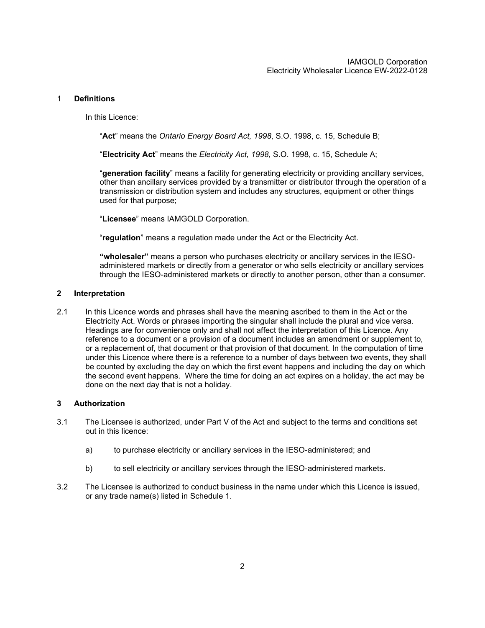### <span id="page-2-0"></span>1 **Definitions**

In this Licence:

"**Act**" means the *Ontario Energy Board Act, 1998*, S.O. 1998, c. 15, Schedule B;

"**Electricity Act**" means the *Electricity Act, 1998*, S.O. 1998, c. 15, Schedule A;

"**generation facility**" means a facility for generating electricity or providing ancillary services, other than ancillary services provided by a transmitter or distributor through the operation of a transmission or distribution system and includes any structures, equipment or other things used for that purpose;

"**Licensee**" means IAMGOLD Corporation.

"**regulation**" means a regulation made under the Act or the Electricity Act.

**"wholesaler"** means a person who purchases electricity or ancillary services in the IESOadministered markets or directly from a generator or who sells electricity or ancillary services through the IESO-administered markets or directly to another person, other than a consumer.

### <span id="page-2-1"></span>**2 Interpretation**

2.1 In this Licence words and phrases shall have the meaning ascribed to them in the Act or the Electricity Act. Words or phrases importing the singular shall include the plural and vice versa. Headings are for convenience only and shall not affect the interpretation of this Licence. Any reference to a document or a provision of a document includes an amendment or supplement to, or a replacement of, that document or that provision of that document. In the computation of time under this Licence where there is a reference to a number of days between two events, they shall be counted by excluding the day on which the first event happens and including the day on which the second event happens. Where the time for doing an act expires on a holiday, the act may be done on the next day that is not a holiday.

## <span id="page-2-2"></span>**3 Authorization**

- 3.1 The Licensee is authorized, under Part V of the Act and subject to the terms and conditions set out in this licence:
	- a) to purchase electricity or ancillary services in the IESO-administered; and
	- b) to sell electricity or ancillary services through the IESO-administered markets.
- 3.2 The Licensee is authorized to conduct business in the name under which this Licence is issued, or any trade name(s) listed in Schedule 1.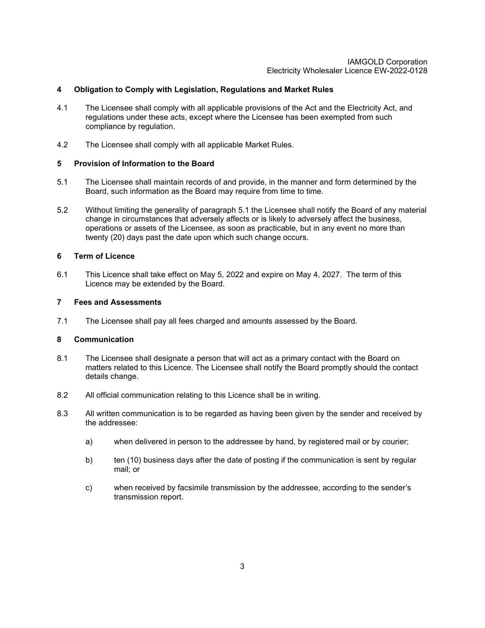### IAMGOLD Corporation Electricity Wholesaler Licence EW-2022-0128

## <span id="page-3-0"></span>**4 Obligation to Comply with Legislation, Regulations and Market Rules**

- 4.1 The Licensee shall comply with all applicable provisions of the Act and the Electricity Act, and regulations under these acts, except where the Licensee has been exempted from such compliance by regulation.
- 4.2 The Licensee shall comply with all applicable Market Rules.

## <span id="page-3-1"></span>**5 Provision of Information to the Board**

- 5.1 The Licensee shall maintain records of and provide, in the manner and form determined by the Board, such information as the Board may require from time to time.
- 5.2 Without limiting the generality of paragraph 5.1 the Licensee shall notify the Board of any material change in circumstances that adversely affects or is likely to adversely affect the business, operations or assets of the Licensee, as soon as practicable, but in any event no more than twenty (20) days past the date upon which such change occurs.

### <span id="page-3-2"></span>**6 Term of Licence**

6.1 This Licence shall take effect on May 5, 2022 and expire on May 4, 2027. The term of this Licence may be extended by the Board.

### <span id="page-3-3"></span>**7 Fees and Assessments**

7.1 The Licensee shall pay all fees charged and amounts assessed by the Board.

## <span id="page-3-4"></span>**8 Communication**

- 8.1 The Licensee shall designate a person that will act as a primary contact with the Board on matters related to this Licence. The Licensee shall notify the Board promptly should the contact details change.
- 8.2 All official communication relating to this Licence shall be in writing.
- 8.3 All written communication is to be regarded as having been given by the sender and received by the addressee:
	- a) when delivered in person to the addressee by hand, by registered mail or by courier;
	- b) ten (10) business days after the date of posting if the communication is sent by regular mail; or
	- c) when received by facsimile transmission by the addressee, according to the sender's transmission report.